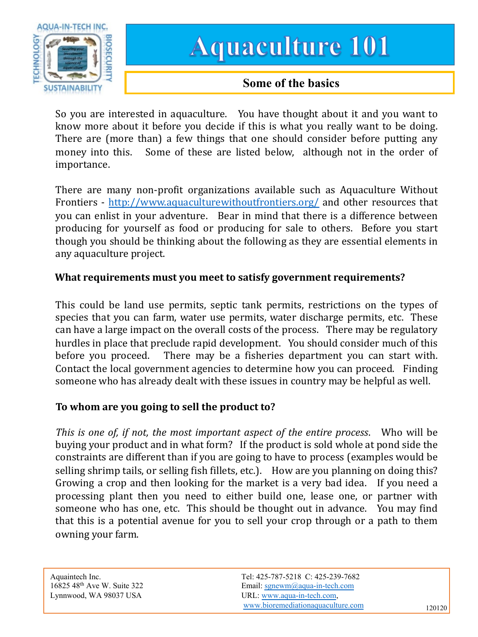

# **Aquaculture 101**

## **Some of the basics**

So you are interested in aquaculture. You have thought about it and you want to know more about it before you decide if this is what you really want to be doing. There are (more than) a few things that one [should](http://www.aquaculturewithoutfrontiers.org/) consider before putting any money into this. Some of these are listed below, although not in the order of importance.

There are many non-profit organizations available such as Aquaculture Without Frontiers - http://www.aquaculturewithoutfrontiers.org/ and other resources that you can enlist in your adventure. Bear in mind that there is a difference between producing for yourself as food or producing for sale to others. Before you start though you should be thinking about the following as they are essential elements in any aquaculture project.

#### **What requirements must you meet to satisfy government requirements?**

This could be land use permits, septic tank permits, restrictions on the types of species that you can farm, water use permits, water discharge permits, etc. These can have a large impact on the overall costs of the process. There may be regulatory hurdles in place that preclude rapid development. You should consider much of this before you proceed. There may be a fisheries department you can start with. Contact the local government agencies to determine how you can proceed. Finding someone who has already dealt with these issues in country may be helpful as well.

### **To whom are you going to sell the product to?**

*This is one of, if not, the most important aspect of the entire process*. Who will be buying your product and in what form? If the product is sold whole at pond side the constraints are different than if you are going to have to process (examples would be selling shrimp tails, or selling fish fillets, etc.). How are you planning on doing this? Growing a crop and then looking for the market is a very bad idea. If you need a processing plant then you need to either build one, lease one, or partner with someone who has one, etc. This should be thought out in advance. You may find that this is a potential avenue for you to sell your crop [through](mailto:sgnewm@aqua-in-tech.com) or a path to them owning your farm.